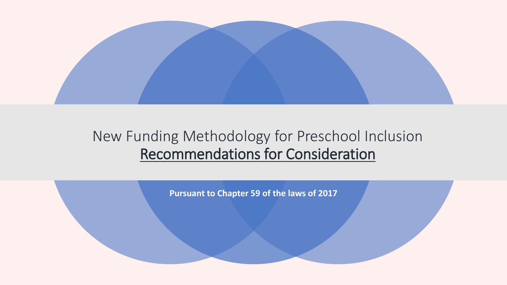

### New Funding Methodology for Preschool Inclusion Recommendations for Consideration

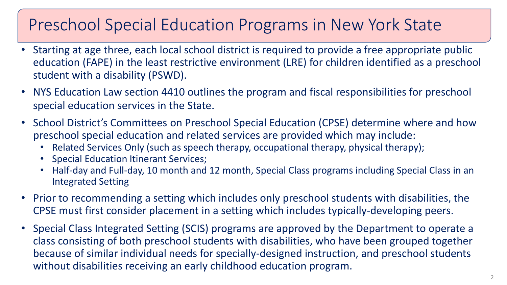# Preschool Special Education Programs in New York State

- Starting at age three, each local school district is required to provide a free appropriate public education (FAPE) in the least restrictive environment (LRE) for children identified as a preschool student with a disability (PSWD).
- NYS Education Law section 4410 outlines the program and fiscal responsibilities for preschool special education services in the State.
- School District's Committees on Preschool Special Education (CPSE) determine where and how preschool special education and related services are provided which may include:
	- Related Services Only (such as speech therapy, occupational therapy, physical therapy);
	- Special Education Itinerant Services;
	- Half-day and Full-day, 10 month and 12 month, Special Class programs including Special Class in an Integrated Setting
- Prior to recommending a setting which includes only preschool students with disabilities, the CPSE must first consider placement in a setting which includes typically-developing peers.
- Special Class Integrated Setting (SCIS) programs are approved by the Department to operate a class consisting of both preschool students with disabilities, who have been grouped together because of similar individual needs for specially-designed instruction, and preschool students without disabilities receiving an early childhood education program.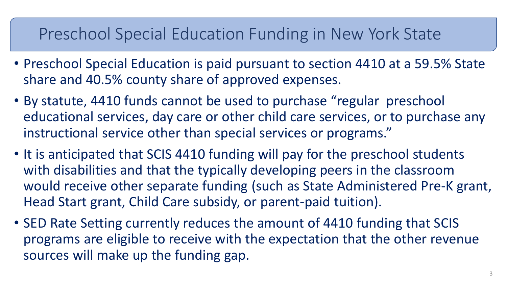## Preschool Special Education Funding in New York State

- Preschool Special Education is paid pursuant to section 4410 at a 59.5% State share and 40.5% county share of approved expenses.
- By statute, 4410 funds cannot be used to purchase "regular preschool educational services, day care or other child care services, or to purchase any instructional service other than special services or programs."
- It is anticipated that SCIS 4410 funding will pay for the preschool students with disabilities and that the typically developing peers in the classroom would receive other separate funding (such as State Administered Pre-K grant, Head Start grant, Child Care subsidy, or parent-paid tuition).
- SED Rate Setting currently reduces the amount of 4410 funding that SCIS programs are eligible to receive with the expectation that the other revenue sources will make up the funding gap.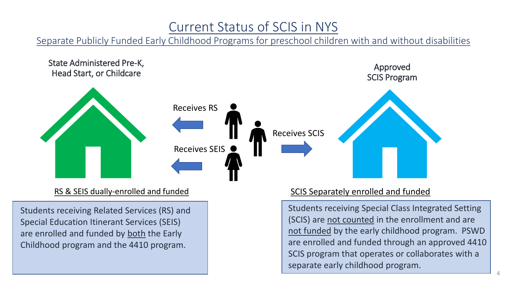### Current Status of SCIS in NYS

Separate Publicly Funded Early Childhood Programs for preschool children with and without disabilities



#### RS & SEIS dually-enrolled and funded

Students receiving Related Services (RS) and Special Education Itinerant Services (SEIS) are enrolled and funded by both the Early Childhood program and the 4410 program.

#### SCIS Separately enrolled and funded

Students receiving Special Class Integrated Setting (SCIS) are not counted in the enrollment and are not funded by the early childhood program. PSWD are enrolled and funded through an approved 4410 SCIS program that operates or collaborates with a separate early childhood program.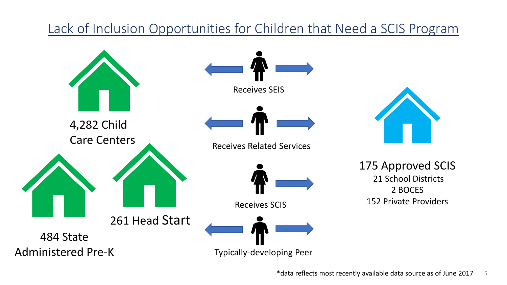### Lack of Inclusion Opportunities for Children that Need a SCIS Program

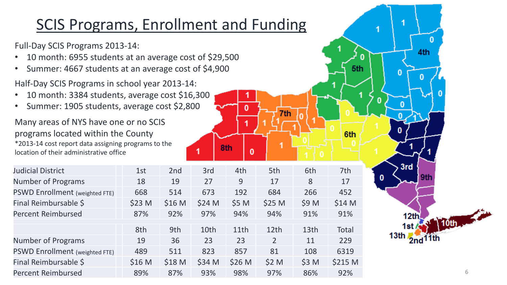## SCIS Programs, Enrollment and Funding

Full-Day SCIS Programs 2013-14:

- 10 month: 6955 students at an average cost of \$29,500
- Summer: 4667 students at an average cost of \$4,900

Half-Day SCIS Programs in school year 2013-14:

- 10 month: 3384 students, average cost \$16,300
- Summer: 1905 students, average cost \$2,800

Many areas of NYS have one or no SCIS programs located within the County \*2013-14 cost report data assigning programs to the location of their administrative office

| 1st               | 2 <sub>nd</sub>   | 3rd    | 4th               | 5th               | 6th              | 7th          |
|-------------------|-------------------|--------|-------------------|-------------------|------------------|--------------|
| 18                | 19                | 27     | 9                 | 17                | 8                | 17           |
| 668               | 514               | 673    | 192               | 684               | 266              | 452          |
| \$23 M            | \$16 <sub>M</sub> | \$24 M | \$5 M             | \$25 <sub>M</sub> | \$9 M            | \$14 M       |
| 87%               | 92%               | 97%    | 94%               | 94%               | 91%              | 91%          |
|                   |                   |        |                   |                   |                  |              |
| 8th               | 9th               | 10th   | 11th              | 12 <sub>th</sub>  | 13 <sub>th</sub> | <b>Total</b> |
| 19                | 36                | 23     | 23                | $\overline{2}$    | 11               | 229          |
| 489               | 511               | 823    | 857               | 81                | 108              | 6319         |
| \$16 <sub>M</sub> | \$18 <sub>M</sub> | \$34 M | \$26 <sub>M</sub> | \$2 M             | \$3 M            | \$215 M      |
| 89%               | 87%               | 93%    | 98%               | 97%               | 86%              | 92%          |
|                   |                   |        |                   |                   |                  |              |

8th

0

7th

6th

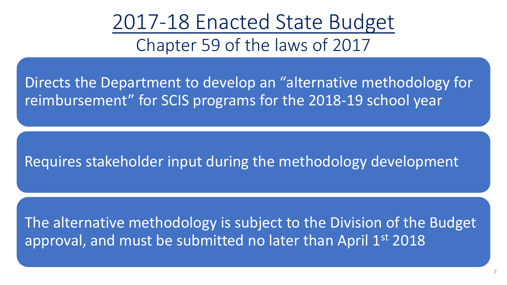2017-18 Enacted State Budget Chapter 59 of the laws of 2017

Directs the Department to develop an "alternative methodology for reimbursement" for SCIS programs for the 2018-19 school year

Requires stakeholder input during the methodology development

The alternative methodology is subject to the Division of the Budget approval, and must be submitted no later than April 1st 2018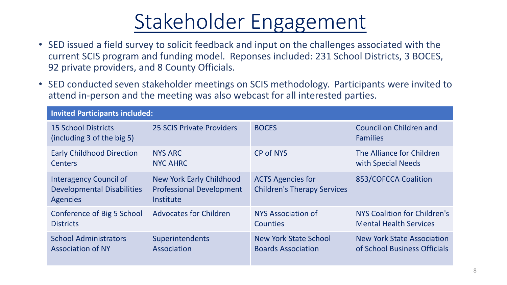# Stakeholder Engagement

- SED issued a field survey to solicit feedback and input on the challenges associated with the current SCIS program and funding model. Reponses included: 231 School Districts, 3 BOCES, 92 private providers, and 8 County Officials.
- SED conducted seven stakeholder meetings on SCIS methodology. Participants were invited to attend in-person and the meeting was also webcast for all interested parties.

| <b>Invited Participants included:</b>                                                 |                                                                          |                                                                |                                            |  |  |
|---------------------------------------------------------------------------------------|--------------------------------------------------------------------------|----------------------------------------------------------------|--------------------------------------------|--|--|
| <b>15 School Districts</b><br>(including 3 of the big 5)                              | <b>25 SCIS Private Providers</b>                                         | <b>BOCES</b>                                                   | Council on Children and<br><b>Families</b> |  |  |
| <b>Early Childhood Direction</b>                                                      | <b>NYS ARC</b>                                                           | CP of NYS                                                      | The Alliance for Children                  |  |  |
| <b>Centers</b>                                                                        | <b>NYC AHRC</b>                                                          |                                                                | with Special Needs                         |  |  |
| <b>Interagency Council of</b><br><b>Developmental Disabilities</b><br><b>Agencies</b> | New York Early Childhood<br><b>Professional Development</b><br>Institute | <b>ACTS Agencies for</b><br><b>Children's Therapy Services</b> | 853/COFCCA Coalition                       |  |  |
| Conference of Big 5 School                                                            | <b>Advocates for Children</b>                                            | <b>NYS Association of</b>                                      | NYS Coalition for Children's               |  |  |
| <b>Districts</b>                                                                      |                                                                          | <b>Counties</b>                                                | <b>Mental Health Services</b>              |  |  |
| <b>School Administrators</b>                                                          | Superintendents                                                          | <b>New York State School</b>                                   | <b>New York State Association</b>          |  |  |
| <b>Association of NY</b>                                                              | Association                                                              | <b>Boards Association</b>                                      | of School Business Officials               |  |  |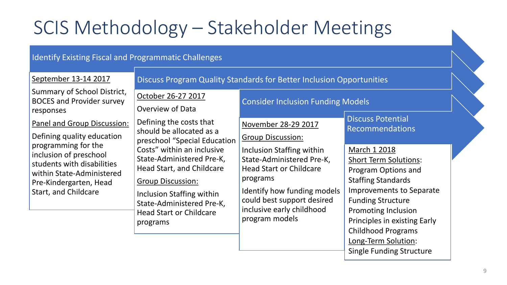# SCIS Methodology – Stakeholder Meetings

#### Identify Existing Fiscal and Programmatic Challenges

| September 13-14 2017                                                                                                                                                                                                    | Discuss Program Quality Standards for Better Inclusion Opportunities                                                                                                                                                     |                                                                                                                                                                                                                  |                                                                                                                                                                               |  |  |  |
|-------------------------------------------------------------------------------------------------------------------------------------------------------------------------------------------------------------------------|--------------------------------------------------------------------------------------------------------------------------------------------------------------------------------------------------------------------------|------------------------------------------------------------------------------------------------------------------------------------------------------------------------------------------------------------------|-------------------------------------------------------------------------------------------------------------------------------------------------------------------------------|--|--|--|
| Summary of School District,<br><b>BOCES and Provider survey</b><br>responses                                                                                                                                            | October 26-27 2017<br><b>Overview of Data</b>                                                                                                                                                                            | <b>Consider Inclusion Funding Models</b>                                                                                                                                                                         |                                                                                                                                                                               |  |  |  |
| Panel and Group Discussion:<br>Defining quality education<br>programming for the<br>inclusion of preschool<br>students with disabilities<br>within State-Administered<br>Pre-Kindergarten, Head<br>Start, and Childcare | Defining the costs that<br>should be allocated as a<br>preschool "Special Education                                                                                                                                      | November 28-29 2017<br><b>Group Discussion:</b>                                                                                                                                                                  | <b>Discuss Potential</b><br><b>Recommendations</b>                                                                                                                            |  |  |  |
|                                                                                                                                                                                                                         | Costs" within an inclusive<br>State-Administered Pre-K,<br>Head Start, and Childcare<br><b>Group Discussion:</b><br>Inclusion Staffing within<br>State-Administered Pre-K,<br><b>Head Start or Childcare</b><br>programs | Inclusion Staffing within<br>State-Administered Pre-K,<br><b>Head Start or Childcare</b><br>programs<br>Identify how funding models<br>could best support desired<br>inclusive early childhood<br>program models | March 1 2018<br><b>Short Term Solutions:</b><br>Program Options and<br><b>Staffing Standards</b>                                                                              |  |  |  |
|                                                                                                                                                                                                                         |                                                                                                                                                                                                                          |                                                                                                                                                                                                                  | <b>Improvements to Separate</b><br><b>Funding Structure</b><br><b>Promoting Inclusion</b><br>Principles in existing Early<br><b>Childhood Programs</b><br>Long-Term Solution: |  |  |  |

9

Single Funding Structure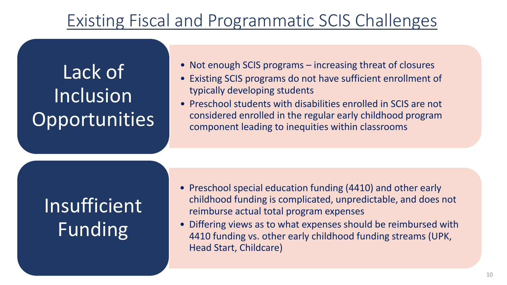# Existing Fiscal and Programmatic SCIS Challenges

Lack of **Inclusion Opportunities** 

- Not enough SCIS programs increasing threat of closures
- Existing SCIS programs do not have sufficient enrollment of typically developing students
- Preschool students with disabilities enrolled in SCIS are not considered enrolled in the regular early childhood program component leading to inequities within classrooms

Insufficient Funding

- Preschool special education funding (4410) and other early childhood funding is complicated, unpredictable, and does not reimburse actual total program expenses
- Differing views as to what expenses should be reimbursed with 4410 funding vs. other early childhood funding streams (UPK, Head Start, Childcare)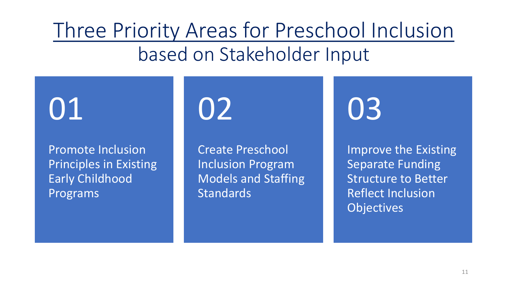# Three Priority Areas for Preschool Inclusion based on Stakeholder Input

01

Promote Inclusion Principles in Existing Early Childhood Programs

02

Create Preschool Inclusion Program Models and Staffing **Standards** 

03

Improve the Existing Separate Funding Structure to Better Reflect Inclusion **Objectives**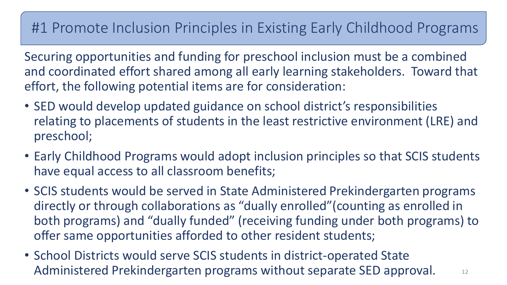### #1 Promote Inclusion Principles in Existing Early Childhood Programs

Securing opportunities and funding for preschool inclusion must be a combined and coordinated effort shared among all early learning stakeholders. Toward that effort, the following potential items are for consideration:

- SED would develop updated guidance on school district's responsibilities relating to placements of students in the least restrictive environment (LRE) and preschool;
- Early Childhood Programs would adopt inclusion principles so that SCIS students have equal access to all classroom benefits;
- SCIS students would be served in State Administered Prekindergarten programs directly or through collaborations as "dually enrolled"(counting as enrolled in both programs) and "dually funded" (receiving funding under both programs) to offer same opportunities afforded to other resident students;
- School Districts would serve SCIS students in district-operated State Administered Prekindergarten programs without separate SED approval. 12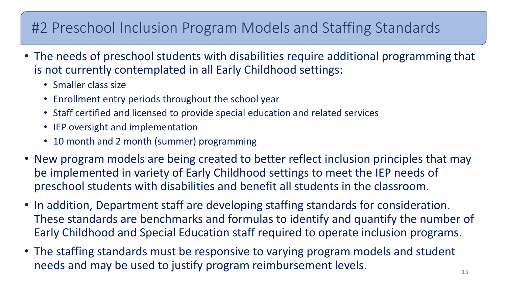## #2 Preschool Inclusion Program Models and Staffing Standards

- The needs of preschool students with disabilities require additional programming that is not currently contemplated in all Early Childhood settings:
	- Smaller class size
	- Enrollment entry periods throughout the school year
	- Staff certified and licensed to provide special education and related services
	- IEP oversight and implementation
	- 10 month and 2 month (summer) programming
- New program models are being created to better reflect inclusion principles that may be implemented in variety of Early Childhood settings to meet the IEP needs of preschool students with disabilities and benefit all students in the classroom.
- In addition, Department staff are developing staffing standards for consideration. These standards are benchmarks and formulas to identify and quantify the number of Early Childhood and Special Education staff required to operate inclusion programs.
- The staffing standards must be responsive to varying program models and student needs and may be used to justify program reimbursement levels.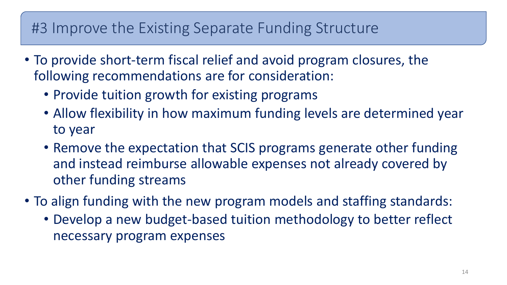### #3 Improve the Existing Separate Funding Structure

- To provide short-term fiscal relief and avoid program closures, the following recommendations are for consideration:
	- Provide tuition growth for existing programs
	- Allow flexibility in how maximum funding levels are determined year to year
	- Remove the expectation that SCIS programs generate other funding and instead reimburse allowable expenses not already covered by other funding streams
- To align funding with the new program models and staffing standards:
	- Develop a new budget-based tuition methodology to better reflect necessary program expenses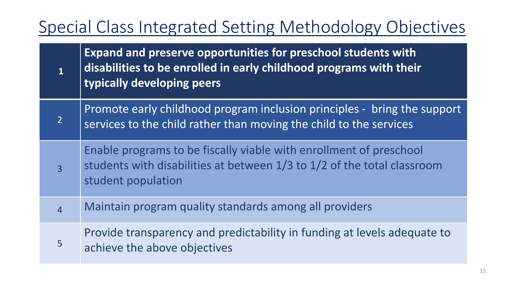# Special Class Integrated Setting Methodology Objectives

| $\mathbf{1}$   | <b>Expand and preserve opportunities for preschool students with</b><br>disabilities to be enrolled in early childhood programs with their<br>typically developing peers |
|----------------|--------------------------------------------------------------------------------------------------------------------------------------------------------------------------|
| $\overline{2}$ | Promote early childhood program inclusion principles - bring the support<br>services to the child rather than moving the child to the services                           |
| $\overline{3}$ | Enable programs to be fiscally viable with enrollment of preschool<br>students with disabilities at between 1/3 to 1/2 of the total classroom<br>student population      |
| $\overline{4}$ | Maintain program quality standards among all providers                                                                                                                   |
| 5              | Provide transparency and predictability in funding at levels adequate to<br>achieve the above objectives                                                                 |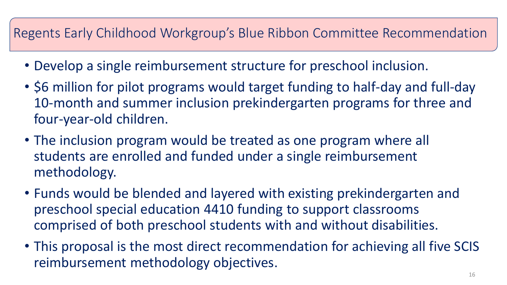### Regents Early Childhood Workgroup's Blue Ribbon Committee Recommendation

- Develop a single reimbursement structure for preschool inclusion.
- \$6 million for pilot programs would target funding to half-day and full-day 10-month and summer inclusion prekindergarten programs for three and four-year-old children.
- The inclusion program would be treated as one program where all students are enrolled and funded under a single reimbursement methodology.
- Funds would be blended and layered with existing prekindergarten and preschool special education 4410 funding to support classrooms comprised of both preschool students with and without disabilities.
- This proposal is the most direct recommendation for achieving all five SCIS reimbursement methodology objectives.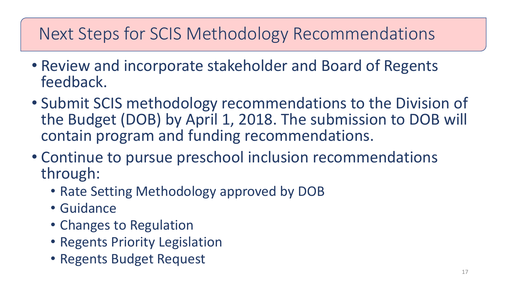# Next Steps for SCIS Methodology Recommendations

- Review and incorporate stakeholder and Board of Regents feedback.
- Submit SCIS methodology recommendations to the Division of the Budget (DOB) by April 1, 2018. The submission to DOB will contain program and funding recommendations.
- Continue to pursue preschool inclusion recommendations through:
	- Rate Setting Methodology approved by DOB
	- Guidance
	- Changes to Regulation
	- Regents Priority Legislation
	- Regents Budget Request